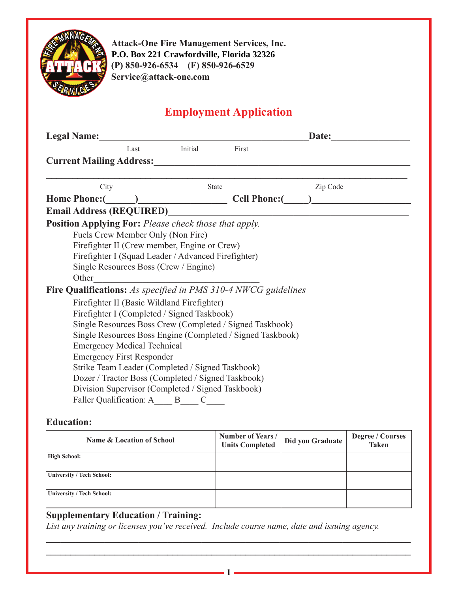

**Attack-One Fire Management Services, Inc. 24 Rainbow Drive Crawfordville, FL 32327 P.O. Box 221 Crawfordville, Florida 32326(P) 850-926-6534 (F) 850-926-6529 Service@attack-one.com**

# **Employment Application**

| <b>Legal Name:</b>                                             |                                                          |                      | Date:    |  |  |
|----------------------------------------------------------------|----------------------------------------------------------|----------------------|----------|--|--|
| Last                                                           | Initial                                                  | First                |          |  |  |
| <b>Current Mailing Address:</b>                                |                                                          |                      |          |  |  |
|                                                                |                                                          |                      |          |  |  |
| City                                                           |                                                          | <b>State</b>         | Zip Code |  |  |
| Home Phone: ( )                                                |                                                          | <b>Cell Phone:</b> ( |          |  |  |
| <b>Email Address (REQUIRED)</b>                                |                                                          |                      |          |  |  |
| <b>Position Applying For:</b> Please check those that apply.   |                                                          |                      |          |  |  |
| Fuels Crew Member Only (Non Fire)                              |                                                          |                      |          |  |  |
| Firefighter II (Crew member, Engine or Crew)                   |                                                          |                      |          |  |  |
| Firefighter I (Squad Leader / Advanced Firefighter)            |                                                          |                      |          |  |  |
| Single Resources Boss (Crew / Engine)                          |                                                          |                      |          |  |  |
| Other                                                          | <u> 1980 - John Stein, Amerikaansk politiker (</u>       |                      |          |  |  |
| Fire Qualifications: As specified in PMS 310-4 NWCG guidelines |                                                          |                      |          |  |  |
| Firefighter II (Basic Wildland Firefighter)                    |                                                          |                      |          |  |  |
| Firefighter I (Completed / Signed Taskbook)                    |                                                          |                      |          |  |  |
|                                                                | Single Resources Boss Crew (Completed / Signed Taskbook) |                      |          |  |  |
| Single Resources Boss Engine (Completed / Signed Taskbook)     |                                                          |                      |          |  |  |
| <b>Emergency Medical Technical</b>                             |                                                          |                      |          |  |  |
| <b>Emergency First Responder</b>                               |                                                          |                      |          |  |  |
| Strike Team Leader (Completed / Signed Taskbook)               |                                                          |                      |          |  |  |
| Dozer / Tractor Boss (Completed / Signed Taskbook)             |                                                          |                      |          |  |  |
| Division Supervisor (Completed / Signed Taskbook)              |                                                          |                      |          |  |  |
| Faller Qualification: A B C                                    |                                                          |                      |          |  |  |
|                                                                |                                                          |                      |          |  |  |

## **Education:**

| <b>Name &amp; Location of School</b> | Number of Years /<br><b>Units Completed</b> | Did you Graduate | <b>Degree / Courses</b><br><b>Taken</b> |
|--------------------------------------|---------------------------------------------|------------------|-----------------------------------------|
| <b>High School:</b>                  |                                             |                  |                                         |
| University / Tech School:            |                                             |                  |                                         |
| University / Tech School:            |                                             |                  |                                         |

**\_\_\_\_\_\_\_\_\_\_\_\_\_\_\_\_\_\_\_\_\_\_\_\_\_\_\_\_\_\_\_\_\_\_\_\_\_\_\_\_\_\_\_\_\_\_\_\_\_\_\_\_\_\_\_\_\_\_\_\_\_\_\_\_\_\_\_\_\_\_\_\_\_\_\_ \_\_\_\_\_\_\_\_\_\_\_\_\_\_\_\_\_\_\_\_\_\_\_\_\_\_\_\_\_\_\_\_\_\_\_\_\_\_\_\_\_\_\_\_\_\_\_\_\_\_\_\_\_\_\_\_\_\_\_\_\_\_\_\_\_\_\_\_\_\_\_\_\_\_\_**

**1**

# **Supplementary Education / Training:**

*List any training or licenses you've received. Include course name, date and issuing agency.*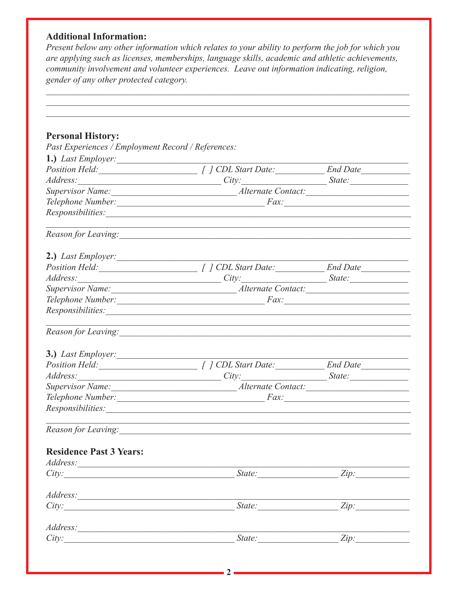## **Additional Information:**

Present below any other information which relates to your ability to perform the job for which you are applying such as licenses, memberships, language skills, academic and athletic achievements, community involvement and volunteer experiences. Leave out information indicating, religion, gender of any other protected category.

| <b>Personal History:</b>                                                                                                                                                                                                       |                                                                                                                                                                                                                                |      |
|--------------------------------------------------------------------------------------------------------------------------------------------------------------------------------------------------------------------------------|--------------------------------------------------------------------------------------------------------------------------------------------------------------------------------------------------------------------------------|------|
| Past Experiences / Employment Record / References:                                                                                                                                                                             |                                                                                                                                                                                                                                |      |
| 1.) Last Employer:                                                                                                                                                                                                             |                                                                                                                                                                                                                                |      |
|                                                                                                                                                                                                                                | Position Held: [ ] CDL Start Date: End Date                                                                                                                                                                                    |      |
|                                                                                                                                                                                                                                | Address: State: State: State: State: State: State: State: State: State: State: State: State: State: State: State: State: State: State: State: State: State: State: State: State: State: State: State: State: State: State: Sta |      |
|                                                                                                                                                                                                                                |                                                                                                                                                                                                                                |      |
|                                                                                                                                                                                                                                |                                                                                                                                                                                                                                |      |
|                                                                                                                                                                                                                                | Responsibilities: Nessential Contract Contract Contract Contract Contract Contract Contract Contract Contract Contract Contract Contract Contract Contract Contract Contract Contract Contract Contract Contract Contract Cont |      |
|                                                                                                                                                                                                                                | ,我们也不会有一个人的人,我们也不会有一个人的人,我们也不会有一个人的人,我们也不会有一个人的人。""我们的人,我们也不会有一个人的人,我们也不会有一个人的人,                                                                                                                                               |      |
| 2.) Last Employer:                                                                                                                                                                                                             |                                                                                                                                                                                                                                |      |
|                                                                                                                                                                                                                                |                                                                                                                                                                                                                                |      |
|                                                                                                                                                                                                                                | Address: State: State: State: State: State: State: State: State: State: State: State: State: State: State: State: State: State: State: State: State: State: State: State: State: State: State: State: State: State: State: Sta |      |
|                                                                                                                                                                                                                                |                                                                                                                                                                                                                                |      |
|                                                                                                                                                                                                                                |                                                                                                                                                                                                                                |      |
| Responsibilities: Nessential Contract Contract Contract Contract Contract Contract Contract Contract Contract Contract Contract Contract Contract Contract Contract Contract Contract Contract Contract Contract Contract Cont |                                                                                                                                                                                                                                |      |
|                                                                                                                                                                                                                                | ,我们也不会有一个人的人,我们也不会有一个人的人,我们也不会有一个人的人。""我们,我们也不会有一个人的人,我们也不会有一个人的人。""我们,我们也不会有一个人                                                                                                                                               |      |
| 3.) Last Employer:                                                                                                                                                                                                             |                                                                                                                                                                                                                                |      |
|                                                                                                                                                                                                                                |                                                                                                                                                                                                                                |      |
|                                                                                                                                                                                                                                | Address: State: State: State: State: State: State: State: State: State: State: State: State: State: State: State: State: State: State: State: State: State: State: State: State: State: State: State: State: State: State: Sta |      |
|                                                                                                                                                                                                                                |                                                                                                                                                                                                                                |      |
|                                                                                                                                                                                                                                |                                                                                                                                                                                                                                |      |
| Responsibilities: Nessential Contract Contract Contract Contract Contract Contract Contract Contract Contract Contract Contract Contract Contract Contract Contract Contract Contract Contract Contract Contract Contract Cont |                                                                                                                                                                                                                                |      |
|                                                                                                                                                                                                                                |                                                                                                                                                                                                                                |      |
| <b>Residence Past 3 Years:</b>                                                                                                                                                                                                 |                                                                                                                                                                                                                                |      |
|                                                                                                                                                                                                                                |                                                                                                                                                                                                                                |      |
| City:                                                                                                                                                                                                                          | $State:$ $Zip:$                                                                                                                                                                                                                |      |
|                                                                                                                                                                                                                                |                                                                                                                                                                                                                                |      |
| City:                                                                                                                                                                                                                          | State:                                                                                                                                                                                                                         | Zip: |
|                                                                                                                                                                                                                                |                                                                                                                                                                                                                                |      |
|                                                                                                                                                                                                                                | $State:$ $Zip:$                                                                                                                                                                                                                |      |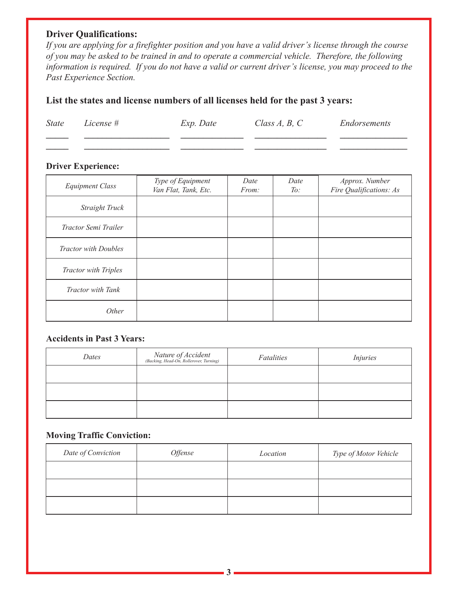## **Driver Qualifications:**

If you are applying for a firefighter position and you have a valid driver's license through the course of you may be asked to be trained in and to operate a commercial vehicle. Therefore, the following information is required. If you do not have a valid or current driver's license, you may proceed to the Past Experience Section.

## List the states and license numbers of all licenses held for the past 3 years:

| <i>State</i> | License # | Exp. Date | Class $A, B, C$ | Endorsements |
|--------------|-----------|-----------|-----------------|--------------|
|              |           |           |                 |              |

#### **Driver Experience:**

| <b>Equipment Class</b>      | Type of Equipment<br>Van Flat, Tank, Etc. | Date<br>From: | Date<br>To: | Approx. Number<br>Fire Qualifications: As |
|-----------------------------|-------------------------------------------|---------------|-------------|-------------------------------------------|
| Straight Truck              |                                           |               |             |                                           |
| Tractor Semi Trailer        |                                           |               |             |                                           |
| <b>Tractor with Doubles</b> |                                           |               |             |                                           |
| <b>Tractor with Triples</b> |                                           |               |             |                                           |
| Tractor with Tank           |                                           |               |             |                                           |
| Other                       |                                           |               |             |                                           |

#### **Accidents in Past 3 Years:**

| Dates | Nature of Accident<br>(Backing, Head-On, Rollerover, Turning) | Fatalities | <i>Injuries</i> |
|-------|---------------------------------------------------------------|------------|-----------------|
|       |                                                               |            |                 |
|       |                                                               |            |                 |
|       |                                                               |            |                 |

#### **Moving Traffic Conviction:**

| Date of Conviction | <i><b>Offense</b></i> | Location | Type of Motor Vehicle |
|--------------------|-----------------------|----------|-----------------------|
|                    |                       |          |                       |
|                    |                       |          |                       |
|                    |                       |          |                       |